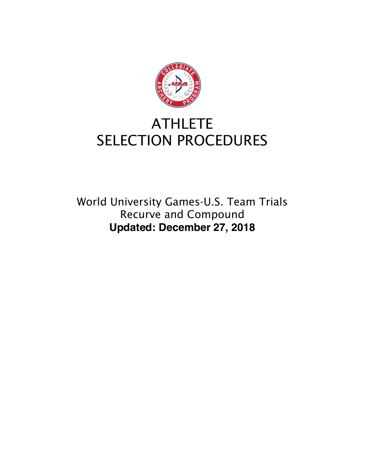

# **ATHLETE** SELECTION PROCEDURES

World University Games-U.S. Team Trials Recurve and Compound **Updated: December 27, 2018**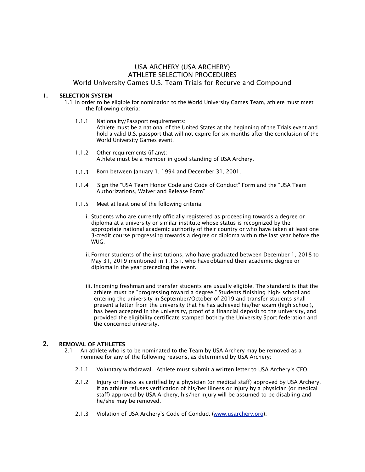# USA ARCHERY (USA ARCHERY) ATHLETE SELECTION PROCEDURES World University Games U.S. Team Trials for Recurve and Compound

#### 1. SELECTION SYSTEM

- 1.1 In order to be eligible for nomination to the World University Games Team, athlete must meet the following criteria:
	- 1.1.1 Nationality/Passport requirements: Athlete must be a national of the United States at the beginning of the Trials event and hold a valid U.S. passport that will not expire for six months after the conclusion of the World University Games event.
	- 1.1.2 Other requirements (if any): Athlete must be a member in good standing of USA Archery.
	- 1.1.3 Born between January 1, 1994 and December 31, 2001.
	- 1.1.4 Sign the "USA Team Honor Code and Code of Conduct" Form and the "USA Team Authorizations, Waiver and Release Form"
	- 1.1.5 Meet at least one of the following criteria:
		- i. Students who are currently officially registered as proceeding towards a degree or diploma at a university or similar institute whose status is recognized by the appropriate national academic authority of their country or who have taken at least one 3-credit course progressing towards a degree or diploma within the last year before the WUG.
		- ii.Former students of the institutions, who have graduated between December 1, 2018 to May 31, 2019 mentioned in 1.1.5 i. who haveobtained their academic degree or diploma in the year preceding the event.
		- iii. Incoming freshman and transfer students are usually eligible. The standard is that the athlete must be "progressing toward a degree." Students finishing high- school and entering the university in September/October of 2019 and transfer students shall present a letter from the university that he has achieved his/her exam (high school), has been accepted in the university, proof of a financial deposit to the university, and provided the eligibility certificate stamped bothby the University Sport federation and the concerned university.

# **2.** REMOVAL OF ATHLETES

- 2.1 An athlete who is to be nominated to the Team by USA Archery may be removed as a nominee for any of the following reasons, as determined by USA Archery:
	- 2.1.1 Voluntary withdrawal. Athlete must submit a written letter to USA Archery's CEO.
	- 2.1.2 Injury or illness as certified by a physician (or medical staff) approved by USA Archery. If an athlete refuses verification of his/her illness or injury by a physician (or medical staff) approved by USA Archery, his/her injury will be assumed to be disabling and he/she may be removed.
	- 2.1.3 Violation of USA Archery's Code of Conduct (www.usarchery.org).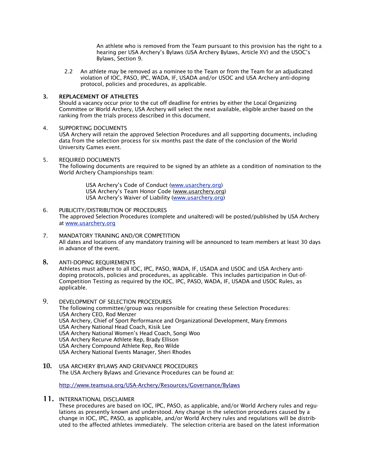An athlete who is removed from the Team pursuant to this provision has the right to a hearing per USA Archery's Bylaws (USA Archery Bylaws, Article XV) and the USOC's Bylaws, Section 9.

2.2 An athlete may be removed as a nominee to the Team or from the Team for an adjudicated violation of IOC, PASO, IPC, WADA, IF, USADA and/or USOC and USA Archery anti-doping protocol, policies and procedures, as applicable.

## 3. REPLACEMENT OF ATHLETES

Should a vacancy occur prior to the cut off deadline for entries by either the Local Organizing Committee or World Archery, USA Archery will select the next available, eligible archer based on the ranking from the trials process described in this document.

# 4. SUPPORTING DOCUMENTS

USA Archery will retain the approved Selection Procedures and all supporting documents, including data from the selection process for six months past the date of the conclusion of the World University Games event.

5. REQUIRED DOCUMENTS

The following documents are required to be signed by an athlete as a condition of nomination to the World Archery Championships team:

> USA Archery's Code of Conduct (www.usarchery.org) USA Archery's Team Honor Code (www.usarchery.org) USA Archery's Waiver of Liability (www.usarchery.org)

- 6. PUBLICITY/DISTRIBUTION OF PROCEDURES The approved Selection Procedures (complete and unaltered) will be posted/published by USA Archery at www.usarchery.org
- 7. MANDATORY TRAINING AND/OR COMPETITION All dates and locations of any mandatory training will be announced to team members at least 30 days in advance of the event.
- **8.** ANTI-DOPING REQUIREMENTS Athletes must adhere to all IOC, IPC, PASO, WADA, IF, USADA and USOC and USA Archery antidoping protocols, policies and procedures, as applicable. This includes participation in Out-of-Competition Testing as required by the IOC, IPC, PASO, WADA, IF, USADA and USOC Rules, as applicable.
- 9. DEVELOPMENT OF SELECTION PROCEDURES The following committee/group was responsible for creating these Selection Procedures: USA Archery CEO, Rod Menzer USA Archery, Chief of Sport Performance and Organizational Development, Mary Emmons USA Archery National Head Coach, Kisik Lee USA Archery National Women's Head Coach, Songi Woo USA Archery Recurve Athlete Rep, Brady Ellison USA Archery Compound Athlete Rep, Reo Wilde USA Archery National Events Manager, Sheri Rhodes
- **10.** USA ARCHERY BYLAWS AND GRIEVANCE PROCEDURES The USA Archery Bylaws and Grievance Procedures can be found at:

http://www.teamusa.org/USA-Archery/Resources/Governance/Bylaws

11. INTERNATIONAL DISCLAIMER

These procedures are based on IOC, IPC, PASO, as applicable, and/or World Archery rules and regulations as presently known and understood. Any change in the selection procedures caused by a change in IOC, IPC, PASO, as applicable, and/or World Archery rules and regulations will be distributed to the affected athletes immediately. The selection criteria are based on the latest information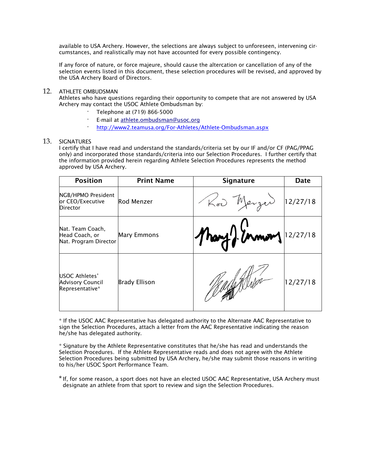available to USA Archery. However, the selections are always subject to unforeseen, intervening circumstances, and realistically may not have accounted for every possible contingency.

If any force of nature, or force majeure, should cause the altercation or cancellation of any of the selection events listed in this document, these selection procedures will be revised, and approved by the USA Archery Board of Directors.

# 12. ATHLETE OMBUDSMAN

Athletes who have questions regarding their opportunity to compete that are not answered by USA Archery may contact the USOC Athlete Ombudsman by:

- · Telephone at (719) 866-5000
- · E-mail at athlete.ombudsman@usoc.org
- http://www2.teamusa.org/For-Athletes/Athlete-Ombudsman.aspx

### 13. SIGNATURES

I certify that I have read and understand the standards/criteria set by our IF and/or CF (PAG/PPAG only) and incorporated those standards/criteria into our Selection Procedures. I further certify that the information provided herein regarding Athlete Selection Procedures represents the method approved by USA Archery.

| <b>Position</b>                                                     | <b>Print Name</b>    | <b>Signature</b>       | Date     |
|---------------------------------------------------------------------|----------------------|------------------------|----------|
| NGB/HPMO President<br>or CEO/Executive<br>Director                  | Rod Menzer           | Kod Merzed             | 12/27/18 |
| Nat. Team Coach,<br>Head Coach, or<br>Nat. Program Director         | <b>Mary Emmons</b>   | Mary 2 Unnon 1 2/27/18 |          |
| <b>USOC Athletes'</b><br><b>Advisory Council</b><br>Representative* | <b>Brady Ellison</b> |                        | 12/27/18 |

\* If the USOC AAC Representative has delegated authority to the Alternate AAC Representative to sign the Selection Procedures, attach a letter from the AAC Representative indicating the reason he/she has delegated authority.

\* Signature by the Athlete Representative constitutes that he/she has read and understands the Selection Procedures. If the Athlete Representative reads and does not agree with the Athlete Selection Procedures being submitted by USA Archery, he/she may submit those reasons in writing to his/her USOC Sport Performance Team.

\*If, for some reason, a sport does not have an elected USOC AAC Representative, USA Archery must designate an athlete from that sport to review and sign the Selection Procedures.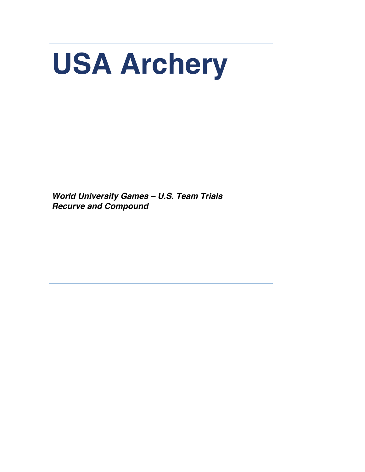# **USA Archery**

*World University Games – U.S. Team Trials Recurve and Compound*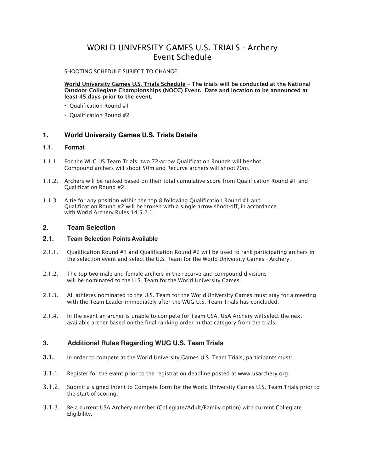# WORLD UNIVERSITY GAMES U.S. TRIALS - Archery Event Schedule

## SHOOTING SCHEDULE SUBIECT TO CHANGE

World University Games U.S. Trials Schedule - The trials will be conducted at the National Outdoor Collegiate Championships (NOCC) Event. Date and location to be announced at least 45 days prior to the event.

- Qualification Round #1
- Qualification Round #2

# **1. World University Games U.S. Trials Details**

# **1.1. Format**

- 1.1.1. For the WUG US Team Trials, two 72-arrow Qualification Rounds will beshot. Compound archers will shoot 50m and Recurve archers will shoot70m.
- 1.1.2. Archers will be ranked based on their total cumulative score from Qualification Round #1 and Qualification Round #2.
- 1.1.3. A tie for any position within the top 8 following Qualification Round #1 and Qualification Round #2 will bebroken with a single arrow shoot-off, in accordance with World Archery Rules 14.5.2.1.

# **2. Team Selection**

# **2.1. Team Selection Points Available**

- 2.1.1. Qualification Round #1 and Qualification Round #2 will be used to rank participating archers in the selection event and select the U.S. Team for the World University Games - Archery.
- 2.1.2. The top two male and female archers in the recurve and compound divisions will be nominated to the U.S. Team for the World University Games.
- 2.1.3. All athletes nominated to the U.S. Team for the World University Games must stay for a meeting with the Team Leader immediately after the WUG U.S. Team Trials has concluded.
- 2.1.4. In the event an archer is unable to compete for Team USA, USA Archery will select the next available archer based on the final ranking order in that category from the trials.

# **3. Additional Rules Regarding WUG U.S. Team Trials**

- **3.1.** In order to compete at the World University Games U.S. Team Trials, participantsmust:
- 3.1.1. Register for the event prior to the registration deadline posted at www.usarchery.org.
- 3.1.2. Submit a signed Intent to Compete form for the World University Games U.S. Team Trials prior to the start of scoring.
- 3.1.3. Be a current USA Archery member (Collegiate/Adult/Family option) with current Collegiate Eligibility.